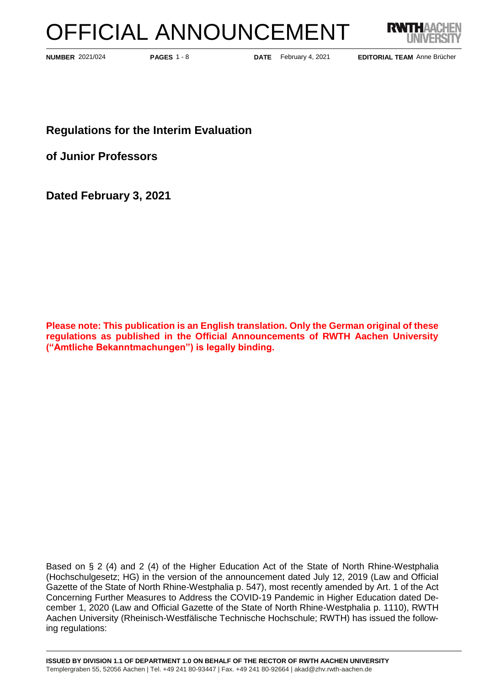# OFFICIAL ANNOUNCEMENT



**PAGES** 1 - 8

**NUMBER** 2021/024 **PAGES** 1 - 8 **DATE** February 4, 2021

**EDITORIAL TEAM** Anne Brücher

**Regulations for the Interim Evaluation** 

**of Junior Professors**

**Dated February 3, 2021**

**Please note: This publication is an English translation. Only the German original of these regulations as published in the Official Announcements of RWTH Aachen University ("Amtliche Bekanntmachungen") is legally binding.**

Based on § 2 (4) and 2 (4) of the Higher Education Act of the State of North Rhine-Westphalia (Hochschulgesetz; HG) in the version of the announcement dated July 12, 2019 (Law and Official Gazette of the State of North Rhine-Westphalia p. 547), most recently amended by Art. 1 of the Act Concerning Further Measures to Address the COVID-19 Pandemic in Higher Education dated December 1, 2020 (Law and Official Gazette of the State of North Rhine-Westphalia p. 1110), RWTH Aachen University (Rheinisch-Westfälische Technische Hochschule; RWTH) has issued the following regulations: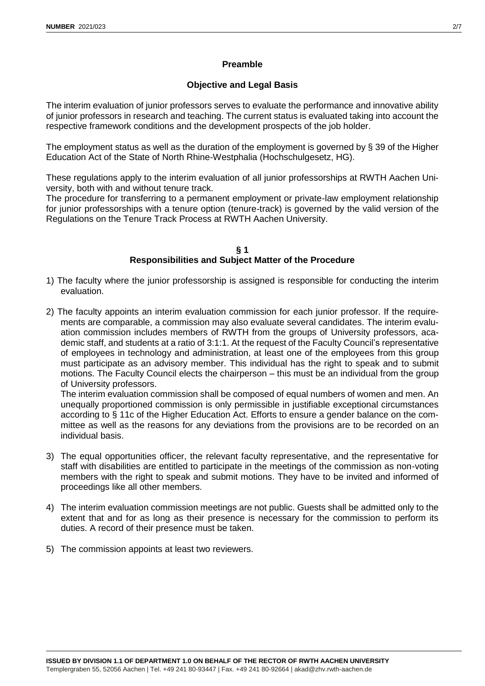# **Preamble**

# **Objective and Legal Basis**

The interim evaluation of junior professors serves to evaluate the performance and innovative ability of junior professors in research and teaching. The current status is evaluated taking into account the respective framework conditions and the development prospects of the job holder.

The employment status as well as the duration of the employment is governed by § 39 of the Higher Education Act of the State of North Rhine-Westphalia (Hochschulgesetz, HG).

These regulations apply to the interim evaluation of all junior professorships at RWTH Aachen University, both with and without tenure track.

The procedure for transferring to a permanent employment or private-law employment relationship for junior professorships with a tenure option (tenure-track) is governed by the valid version of the Regulations on the Tenure Track Process at RWTH Aachen University.

## **§ 1 Responsibilities and Subject Matter of the Procedure**

- 1) The faculty where the junior professorship is assigned is responsible for conducting the interim evaluation.
- 2) The faculty appoints an interim evaluation commission for each junior professor. If the requirements are comparable, a commission may also evaluate several candidates. The interim evaluation commission includes members of RWTH from the groups of University professors, academic staff, and students at a ratio of 3:1:1. At the request of the Faculty Council's representative of employees in technology and administration, at least one of the employees from this group must participate as an advisory member. This individual has the right to speak and to submit motions. The Faculty Council elects the chairperson – this must be an individual from the group of University professors.

The interim evaluation commission shall be composed of equal numbers of women and men. An unequally proportioned commission is only permissible in justifiable exceptional circumstances according to § 11c of the Higher Education Act. Efforts to ensure a gender balance on the committee as well as the reasons for any deviations from the provisions are to be recorded on an individual basis.

- 3) The equal opportunities officer, the relevant faculty representative, and the representative for staff with disabilities are entitled to participate in the meetings of the commission as non-voting members with the right to speak and submit motions. They have to be invited and informed of proceedings like all other members.
- 4) The interim evaluation commission meetings are not public. Guests shall be admitted only to the extent that and for as long as their presence is necessary for the commission to perform its duties. A record of their presence must be taken.
- 5) The commission appoints at least two reviewers.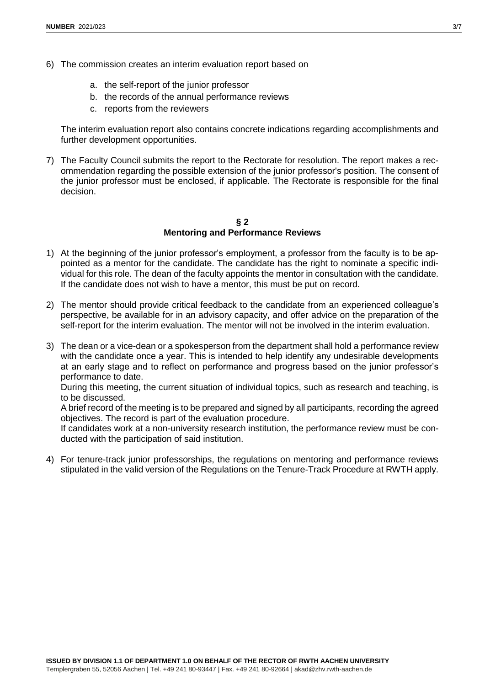- 6) The commission creates an interim evaluation report based on
	- a. the self-report of the junior professor
	- b. the records of the annual performance reviews
	- c. reports from the reviewers

The interim evaluation report also contains concrete indications regarding accomplishments and further development opportunities.

7) The Faculty Council submits the report to the Rectorate for resolution. The report makes a recommendation regarding the possible extension of the junior professor's position. The consent of the junior professor must be enclosed, if applicable. The Rectorate is responsible for the final decision.

## **§ 2 Mentoring and Performance Reviews**

- 1) At the beginning of the junior professor's employment, a professor from the faculty is to be appointed as a mentor for the candidate. The candidate has the right to nominate a specific individual for this role. The dean of the faculty appoints the mentor in consultation with the candidate. If the candidate does not wish to have a mentor, this must be put on record.
- 2) The mentor should provide critical feedback to the candidate from an experienced colleague's perspective, be available for in an advisory capacity, and offer advice on the preparation of the self-report for the interim evaluation. The mentor will not be involved in the interim evaluation.
- 3) The dean or a vice-dean or a spokesperson from the department shall hold a performance review with the candidate once a year. This is intended to help identify any undesirable developments at an early stage and to reflect on performance and progress based on the junior professor's performance to date.

During this meeting, the current situation of individual topics, such as research and teaching, is to be discussed.

A brief record of the meeting is to be prepared and signed by all participants, recording the agreed objectives. The record is part of the evaluation procedure.

If candidates work at a non-university research institution, the performance review must be conducted with the participation of said institution.

4) For tenure-track junior professorships, the regulations on mentoring and performance reviews stipulated in the valid version of the Regulations on the Tenure-Track Procedure at RWTH apply.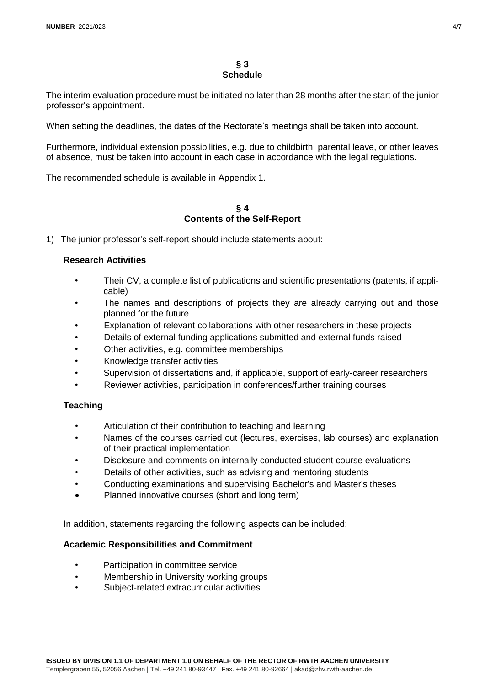#### **§ 3 Schedule**

The interim evaluation procedure must be initiated no later than 28 months after the start of the junior professor's appointment.

When setting the deadlines, the dates of the Rectorate's meetings shall be taken into account.

Furthermore, individual extension possibilities, e.g. due to childbirth, parental leave, or other leaves of absence, must be taken into account in each case in accordance with the legal regulations.

The recommended schedule is available in Appendix 1.

#### **§ 4 Contents of the Self-Report**

1) The junior professor's self-report should include statements about:

## **Research Activities**

- Their CV, a complete list of publications and scientific presentations (patents, if applicable)
- The names and descriptions of projects they are already carrying out and those planned for the future
- Explanation of relevant collaborations with other researchers in these projects
- Details of external funding applications submitted and external funds raised
- Other activities, e.g. committee memberships
- Knowledge transfer activities
- Supervision of dissertations and, if applicable, support of early-career researchers
- Reviewer activities, participation in conferences/further training courses

# **Teaching**

- Articulation of their contribution to teaching and learning
- Names of the courses carried out (lectures, exercises, lab courses) and explanation of their practical implementation
- Disclosure and comments on internally conducted student course evaluations
- Details of other activities, such as advising and mentoring students
- Conducting examinations and supervising Bachelor's and Master's theses
- Planned innovative courses (short and long term)

In addition, statements regarding the following aspects can be included:

## **Academic Responsibilities and Commitment**

- Participation in committee service
- Membership in University working groups
- Subject-related extracurricular activities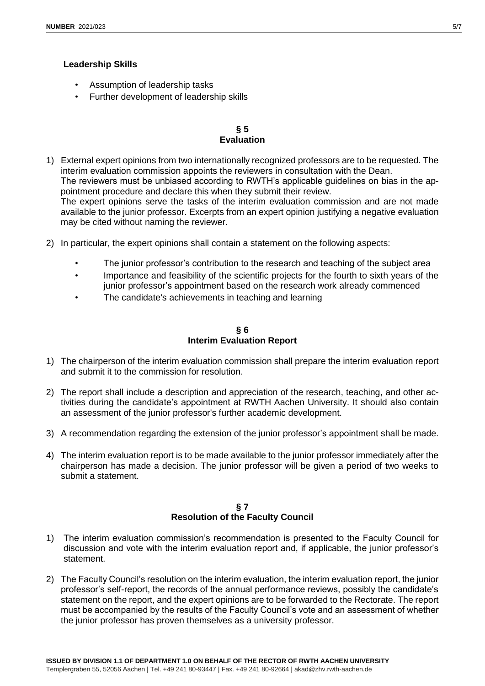# **Leadership Skills**

- Assumption of leadership tasks
- Further development of leadership skills

# **§ 5 Evaluation**

- 1) External expert opinions from two internationally recognized professors are to be requested. The interim evaluation commission appoints the reviewers in consultation with the Dean. The reviewers must be unbiased according to RWTH's applicable guidelines on bias in the appointment procedure and declare this when they submit their review. The expert opinions serve the tasks of the interim evaluation commission and are not made available to the junior professor. Excerpts from an expert opinion justifying a negative evaluation may be cited without naming the reviewer.
- 2) In particular, the expert opinions shall contain a statement on the following aspects:
	- The junior professor's contribution to the research and teaching of the subject area
	- Importance and feasibility of the scientific projects for the fourth to sixth years of the junior professor's appointment based on the research work already commenced
	- The candidate's achievements in teaching and learning

#### **§ 6 Interim Evaluation Report**

- 1) The chairperson of the interim evaluation commission shall prepare the interim evaluation report and submit it to the commission for resolution.
- 2) The report shall include a description and appreciation of the research, teaching, and other activities during the candidate's appointment at RWTH Aachen University. It should also contain an assessment of the junior professor's further academic development.
- 3) A recommendation regarding the extension of the junior professor's appointment shall be made.
- 4) The interim evaluation report is to be made available to the junior professor immediately after the chairperson has made a decision. The junior professor will be given a period of two weeks to submit a statement.

## **§ 7 Resolution of the Faculty Council**

- 1) The interim evaluation commission's recommendation is presented to the Faculty Council for discussion and vote with the interim evaluation report and, if applicable, the junior professor's statement.
- 2) The Faculty Council's resolution on the interim evaluation, the interim evaluation report, the junior professor's self-report, the records of the annual performance reviews, possibly the candidate's statement on the report, and the expert opinions are to be forwarded to the Rectorate. The report must be accompanied by the results of the Faculty Council's vote and an assessment of whether the junior professor has proven themselves as a university professor.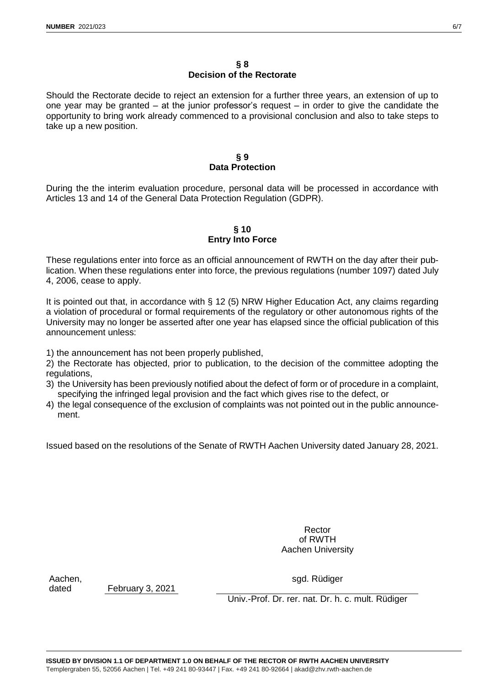## **§ 8 Decision of the Rectorate**

Should the Rectorate decide to reject an extension for a further three years, an extension of up to one year may be granted – at the junior professor's request – in order to give the candidate the opportunity to bring work already commenced to a provisional conclusion and also to take steps to take up a new position.

# **§ 9 Data Protection**

During the the interim evaluation procedure, personal data will be processed in accordance with Articles 13 and 14 of the General Data Protection Regulation (GDPR).

# **§ 10 Entry Into Force**

These regulations enter into force as an official announcement of RWTH on the day after their publication. When these regulations enter into force, the previous regulations (number 1097) dated July 4, 2006, cease to apply.

It is pointed out that, in accordance with § 12 (5) NRW Higher Education Act, any claims regarding a violation of procedural or formal requirements of the regulatory or other autonomous rights of the University may no longer be asserted after one year has elapsed since the official publication of this announcement unless:

1) the announcement has not been properly published,

2) the Rectorate has objected, prior to publication, to the decision of the committee adopting the regulations,

- 3) the University has been previously notified about the defect of form or of procedure in a complaint, specifying the infringed legal provision and the fact which gives rise to the defect, or
- 4) the legal consequence of the exclusion of complaints was not pointed out in the public announcement.

Issued based on the resolutions of the Senate of RWTH Aachen University dated January 28, 2021.

Rector of RWTH Aachen University

Aachen,

dated February 3, 2021

sgd. Rüdiger

Univ.-Prof. Dr. rer. nat. Dr. h. c. mult. Rüdiger